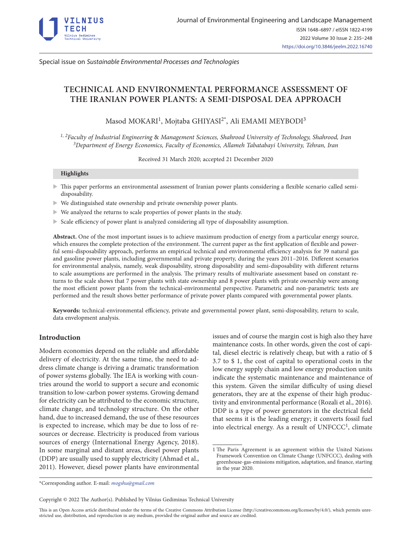

Special issue on *Sustainable Environmental Processes and Technologies*

# **TECHNICAL AND ENVIRONMENTAL PERFORMANCE ASSESSMENT OF THE IRANIAN POWER PLANTS: A SEMI-DISPOSAL DEA APPROACH**

Masod MOKARI<sup>1</sup>, Mojtaba GHIYASI<sup>2\*</sup>, Ali EMAMI MEYBODI<sup>3</sup>

*1, 2Faculty of Industrial Engineering* & *Management Sciences, Shahrood University of Technology, Shahrood, Iran 3Department of Energy Economics, Faculty of Economics, Allameh Tabatabayi University, Tehran, Iran* 

Received 31 March 2020; accepted 21 December 2020

#### **Highlights**

- $\triangleright$  This paper performs an environmental assessment of Iranian power plants considering a flexible scenario called semidisposability.
- $\triangleright$  We distinguished state ownership and private ownership power plants.
- $\triangleright$  We analyzed the returns to scale properties of power plants in the study.
- Scale efficiency of power plant is analyzed considering all type of disposability assumption.

**Abstract.** One of the most important issues is to achieve maximum production of energy from a particular energy source, which ensures the complete protection of the environment. The current paper as the first application of flexible and powerful semi-disposability approach, performs an empirical technical and environmental efficiency analysis for 39 natural gas and gasoline power plants, including governmental and private property, during the years 2011–2016. Different scenarios for environmental analysis, namely, weak disposability, strong disposability and semi-disposability with different returns to scale assumptions are performed in the analysis. The primary results of multivariate assessment based on constant returns to the scale shows that 7 power plants with state ownership and 8 power plants with private ownership were among the most efficient power plants from the technical-environmental perspective. Parametric and non-parametric tests are performed and the result shows better performance of private power plants compared with governmental power plants.

**Keywords:** technical-environmental efficiency, private and governmental power plant, semi-disposability, return to scale, data envelopment analysis.

# **Introduction**

Modern economies depend on the reliable and affordable delivery of electricity. At the same time, the need to address climate change is driving a dramatic transformation of power systems globally. The IEA is working with countries around the world to support a secure and economic transition to low-carbon power systems. Growing demand for electricity can be attributed to the economic structure, climate change, and technology structure. On the other hand, due to increased demand, the use of these resources is expected to increase, which may be due to loss of resources or decrease. Electricity is produced from various sources of energy (International Energy Agency, 2018). In some marginal and distant areas, diesel power plants (DDP) are usually used to supply electricity (Ahmad et al., 2011). However, diesel power plants have environmental

issues and of course the margin cost is high also they have maintenance costs. In other words, given the cost of capital, diesel electric is relatively cheap, but with a ratio of \$ 3.7 to \$ 1, the cost of capital to operational costs in the low energy supply chain and low energy production units indicate the systematic maintenance and maintenance of this system. Given the similar difficulty of using diesel generators, they are at the expense of their high productivity and environmental performance (Rozali et al., 2016). DDP is a type of power generators in the electrical field that seems it is the leading energy; it converts fossil fuel into electrical energy. As a result of  $UNFCCC<sup>1</sup>$ , climate

\*Corresponding author. E-mail: *[mogshu@gmail.com](mailto:mogshu@gmail.com)*

Copyright © 2022 The Author(s). Published by Vilnius Gediminas Technical University

This is an Open Access article distributed under the terms of the Creative Commons Attribution License (<http://creativecommons.org/licenses/by/4.0/>), which permits unrestricted use, distribution, and reproduction in any medium, provided the original author and source are credited.

<sup>1</sup> The Paris Agreement is an agreement within the United Nations Framework Convention on Climate Change (UNFCCC), dealing with greenhouse-gas-emissions mitigation, adaptation, and finance, starting in the year 2020.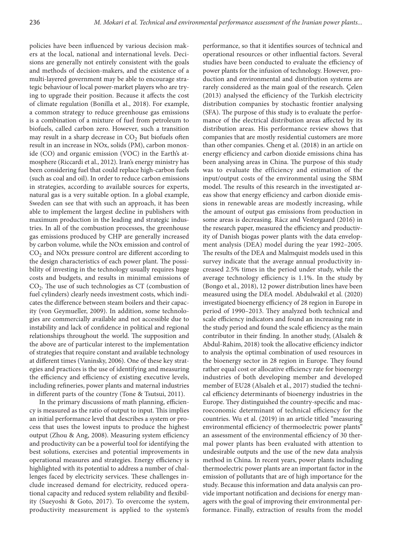policies have been influenced by various decision makers at the local, national and international levels. Decisions are generally not entirely consistent with the goals and methods of decision-makers, and the existence of a multi-layered government may be able to encourage strategic behaviour of local power-market players who are trying to upgrade their position. Because it affects the cost of climate regulation (Bonilla et al., 2018). For example, a common strategy to reduce greenhouse gas emissions is a combination of a mixture of fuel from petroleum to biofuels, called carbon zero. However, such a transition may result in a sharp decrease in  $CO<sub>2</sub>$  But biofuels often result in an increase in NOx, solids (PM), carbon monoxide (CO) and organic emission (VOC) in the Earth's atmosphere (Riccardi et al., 2012). Iran's energy ministry has been considering fuel that could replace high-carbon fuels (such as coal and oil). In order to reduce carbon emissions in strategies, according to available sources for experts, natural gas is a very suitable option. In a global example, Sweden can see that with such an approach, it has been able to implement the largest decline in publishers with maximum production in the leading and strategic industries. In all of the combustion processes, the greenhouse gas emissions produced by CHP are generally increased by carbon volume, while the NOx emission and control of CO<sub>2</sub> and NO<sub>x</sub> pressure control are different according to the design characteristics of each power plant. The possibility of investing in the technology usually requires huge costs and budgets, and results in minimal emissions of  $CO<sub>2</sub>$ . The use of such technologies as CT (combustion of fuel cylinders) clearly needs investment costs, which indicates the difference between steam boilers and their capacity (von Geymueller, 2009). In addition, some technologies are commercially available and not accessible due to instability and lack of confidence in political and regional relationships throughout the world. The supposition and the above are of particular interest to the implementation of strategies that require constant and available technology at different times (Vaninsky, 2006). One of these key strategies and practices is the use of identifying and measuring the efficiency and efficiency of existing executive levels, including refineries, power plants and maternal industries in different parts of the country (Tone & Tsutsui, 2011).

In the primary discussions of math planning, efficiency is measured as the ratio of output to input. This implies an initial performance level that describes a system or process that uses the lowest inputs to produce the highest output (Zhou & Ang, 2008). Measuring system efficiency and productivity can be a powerful tool for identifying the best solutions, exercises and potential improvements in operational measures and strategies. Energy efficiency is highlighted with its potential to address a number of challenges faced by electricity services. These challenges include increased demand for electricity, reduced operational capacity and reduced system reliability and flexibility (Sueyoshi & Goto, 2017). To overcome the system, productivity measurement is applied to the system's

performance, so that it identifies sources of technical and operational resources or other influential factors. Several studies have been conducted to evaluate the efficiency of power plants for the infusion of technology. However, production and environmental and distribution systems are rarely considered as the main goal of the research. Çelen (2013) analysed the efficiency of the Turkish electricity distribution companies by stochastic frontier analysing (SFA). The purpose of this study is to evaluate the performance of the electrical distribution areas affected by its distribution areas. His performance review shows that companies that are mostly residential customers are more than other companies. Cheng et al. (2018) in an article on energy efficiency and carbon dioxide emissions china has been analysing areas in China. The purpose of this study was to evaluate the efficiency and estimation of the input/output costs of the environmental using the SBM model. The results of this research in the investigated areas show that energy efficiency and carbon dioxide emissions in renewable areas are modestly increasing, while the amount of output gas emissions from production in some areas is decreasing. Rácz and Vestergaard (2016) in the research paper, measured the efficiency and productivity of Danish biogas power plants with the data envelopment analysis (DEA) model during the year 1992–2005. The results of the DEA and Malmquist models used in this survey indicate that the average annual productivity increased 2.5% times in the period under study, while the average technology efficiency is 1.1%. In the study by (Bongo et al., 2018), 12 power distribution lines have been measured using the DEA model. Abdulwakil et al. (2020) investigated bioenergy efficiency of 28 region in Europe in period of 1990–2013. They analyzed both technical and scale efficiency indicators and found an increasing rate in the study period and found the scale efficiency as the main contributor in their finding. In another study, (Alsaleh & Abdul-Rahim, 2018) took the allocative efficiency indictor to analysis the optimal combination of used resources in the bioenergy sector in 28 region in Europe. They found rather equal cost or allocative efficiency rate for bioenergy industries of both developing member and developed member of EU28 (Alsaleh et al., 2017) studied the technical efficiency determinants of bioenergy industries in the Europe. They distinguished the country-specific and macroeconomic determinant of technical efficiency for the countries. Wu et al. (2019) in an article titled "measuring environmental efficiency of thermoelectric power plants" an assessment of the environmental efficiency of 30 thermal power plants has been evaluated with attention to undesirable outputs and the use of the new data analysis method in China. In recent years, power plants including thermoelectric power plants are an important factor in the emission of pollutants that are of high importance for the study. Because this information and data analysis can provide important notification and decisions for energy managers with the goal of improving their environmental performance. Finally, extraction of results from the model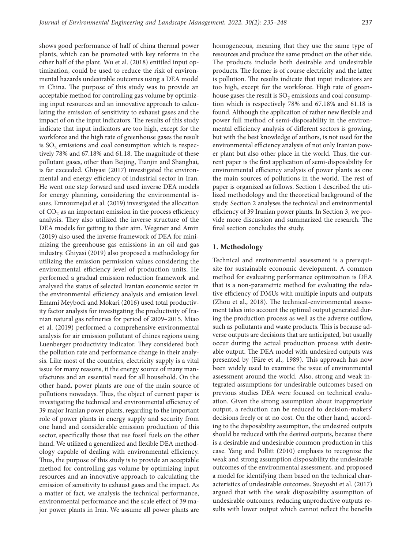shows good performance of half of china thermal power plants, which can be promoted with key reforms in the other half of the plant. Wu et al. (2018) entitled input optimization, could be used to reduce the risk of environmental hazards undesirable outcomes using a DEA model in China. The purpose of this study was to provide an acceptable method for controlling gas volume by optimizing input resources and an innovative approach to calculating the emission of sensitivity to exhaust gases and the impact of on the input indicators. The results of this study indicate that input indicators are too high, except for the workforce and the high rate of greenhouse gases the result is  $SO<sub>2</sub>$  emissions and coal consumption which is respectively 78% and 67.18% and 61.18. The magnitude of these pollutant gases, other than Beijing, Tianjin and Shanghai, is far exceeded. Ghiyasi (2017) investigated the environmental and energy efficiency of industrial sector in Iran. He went one step forward and used inverse DEA models for energy planning, considering the environmental issues. Emrouznejad et al. (2019) investigated the allocation of  $CO<sub>2</sub>$  as an important emission in the process efficiency analysis. They also utilized the inverse structure of the DEA models for getting to their aim. Wegener and Amin (2019) also used the inverse framework of DEA for minimizing the greenhouse gas emissions in an oil and gas industry. Ghiyasi (2019) also proposed a methodology for utilizing the emission permission values considering the environmental efficiency level of production units. He performed a gradual emission reduction framework and analysed the status of selected Iranian economic sector in the environmental efficiency analysis and emission level. Emami Meybodi and Mokari (2016) used total productivity factor analysis for investigating the productivity of Iranian natural gas refineries for period of 2009–2015. Miao et al. (2019) performed a comprehensive environmental analysis for air emission pollutant of chines regions using Luenberger productivity indicator. They considered both the pollution rate and performance change in their analysis. Like most of the countries, electricity supply is a vital issue for many reasons, it the energy source of many manufactures and an essential need for all household. On the other hand, power plants are one of the main source of pollutions nowadays. Thus, the object of current paper is investigating the technical and environmental efficiency of 39 major Iranian power plants, regarding to the important role of power plants in energy supply and security from one hand and considerable emission production of this sector, specifically those that use fossil fuels on the other hand. We utilized a generalized and flexible DEA methodology capable of dealing with environmental efficiency. Thus, the purpose of this study is to provide an acceptable method for controlling gas volume by optimizing input resources and an innovative approach to calculating the emission of sensitivity to exhaust gases and the impact. As a matter of fact, we analysis the technical performance, environmental performance and the scale effect of 39 major power plants in Iran. We assume all power plants are homogeneous, meaning that they use the same type of resources and produce the same product on the other side. The products include both desirable and undesirable products. The former is of course electricity and the latter is pollution. The results indicate that input indicators are too high, except for the workforce. High rate of greenhouse gases the result is  $SO_2$  emissions and coal consumption which is respectively 78% and 67.18% and 61.18 is found. Although the application of rather new flexible and power full method of semi-disposability in the environmental efficiency analysis of different sectors is growing, but with the best knowledge of authors, is not used for the environmental efficiency analysis of not only Iranian power plant but also other place in the world. Thus, the current paper is the first application of semi-disposability for environmental efficiency analysis of power plants as one the main sources of pollutions in the world. The rest of paper is organized as follows. Section 1 described the utilized methodology and the theoretical background of the study. Section 2 analyses the technical and environmental efficiency of 39 Iranian power plants. In Section 3, we provide more discussion and summarized the research. The final section concludes the study.

### **1. Methodology**

Technical and environmental assessment is a prerequisite for sustainable economic development. A common method for evaluating performance optimization is DEA that is a non-parametric method for evaluating the relative efficiency of DMUs with multiple inputs and outputs (Zhou et al., 2018). The technical-environmental assessment takes into account the optimal output generated during the production process as well as the adverse outflow, such as pollutants and waste products. This is because adverse outputs are decisions that are anticipated, but usually occur during the actual production process with desirable output. The DEA model with undesired outputs was presented by (Färe et al., 1989). This approach has now been widely used to examine the issue of environmental assessment around the world. Also, strong and weak integrated assumptions for undesirable outcomes based on previous studies DEA were focused on technical evaluation. Given the strong assumption about inappropriate output, a reduction can be reduced to decision-makers' decisions freely or at no cost. On the other hand, according to the disposability assumption, the undesired outputs should be reduced with the desired outputs, because there is a desirable and undesirable common production in this case. Yang and Pollitt (2010) emphasis to recognize the weak and strong assumption disposability the undesirable outcomes of the environmental assessment, and proposed a model for identifying them based on the technical characteristics of undesirable outcomes. Sueyoshi et al. (2017) argued that with the weak disposability assumption of undesirable outcomes, reducing unproductive outputs results with lower output which cannot reflect the benefits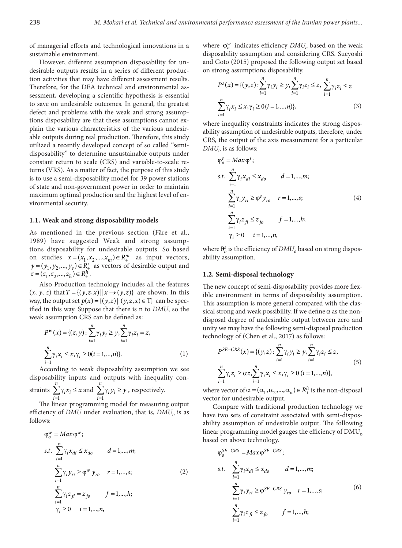of managerial efforts and technological innovations in a sustainable environment.

However, different assumption disposability for undesirable outputs results in a series of different production activities that may have different assessment results. Therefore, for the DEA technical and environmental assessment, developing a scientific hypothesis is essential to save on undesirable outcomes. In general, the greatest defect and problems with the weak and strong assumptions disposability are that these assumptions cannot explain the various characteristics of the various undesirable outputs during real production. Therefore, this study utilized a recently developed concept of so called "semidisposability" to determine unsustainable outputs under constant return to scale (CRS) and variable-to-scale returns (VRS). As a matter of fact, the purpose of this study is to use a semi-disposability model for 39 power stations of state and non-government power in order to maintain maximum optimal production and the highest level of environmental security.

#### **1.1. Weak and strong disposability models**

As mentioned in the previous section (Färe et al., 1989) have suggested Weak and strong assumptions disposability for undesirable outputs. So based on studies  $x = (x_1, x_2, ..., x_m) \in R_+^m$  as input vectors,  $y = (y_1, y_2, ..., y_s) \in \mathbb{R}^s_+$  as vectors of desirable output and  $z = (z_1, z_2, ..., z_h) \in R_+^h$ .

Also Production technology includes all the features  $(x, y, z)$  that  $T = \{(y, z, x) \mid x \rightarrow (y, z)\}$  are shown. In this way, the output set  $p(x) = \{(y, z) | (y, z, x) \in T\}$  can be specified in this way. Suppose that there is n to *DMU*, so the weak assumption CRS can be defined as:

$$
P^{w}(x) = \{(z, y) : \sum_{i=1}^{n} \gamma_{i} y_{i} \ge y, \sum_{i=1}^{n} \gamma_{i} z_{i} = z,
$$
  

$$
\sum_{i=1}^{n} \gamma_{i} x_{i} \le x, \gamma_{i} \ge 0 (i = 1, ..., n) \}.
$$
 (1)

According to weak disposability assumption we see disposability inputs and outputs with inequality con*n n*

straints  $\sum_{i=1} \gamma_i x_i \leq$ 1  $i^{\lambda}$ <sub>i</sub> *i*  $x_i \leq x$  and  $\sum_{i=1} \gamma_i y_i \geq$ 1 *i i i*  $y_i \geq y$ , respectively.

The linear programming model for measuring output efficiency of *DMU* under evaluation, that is, *DMU*<sub>o</sub> is as follows:

$$
\varphi_o^w = Max \varphi^w;
$$
  
s.t. 
$$
\sum_{i=1}^n \gamma_i x_{di} \le x_{do} \qquad d = 1,..., m;
$$
  

$$
\sum_{i=1}^n \gamma_i y_{ri} \ge \varphi^w y_{ro} \qquad r = 1,..., s;
$$
  

$$
\sum_{i=1}^n \gamma_i z_{fi} = z_{fo} \qquad f = 1,..., h;
$$
  

$$
\gamma_i \ge 0 \qquad i = 1,..., n,
$$
 (2)

where  $\varphi_o^w$  indicates efficiency  $DMU_o$  based on the weak disposability assumption and considering CRS. Sueyoshi and Goto (2015) proposed the following output set based on strong assumptions disposability.

$$
P^{s}(x) = \{(y, z) : \sum_{i=1}^{n} \gamma_{i} y_{i} \ge y, \sum_{i=1}^{n} \gamma_{i} z_{i} \le z, \sum_{i=1}^{n} \gamma_{i} z_{i} \le z
$$
  

$$
\sum_{i=1}^{n} \gamma_{i} x_{i} \le x, \gamma_{i} \ge 0 (i = 1, ..., n) \},
$$
 (3)

where inequality constraints indicates the strong disposability assumption of undesirable outputs, therefore, under CRS, the output of the axis measurement for a particular  $DMU<sub>o</sub>$  is as follows:

$$
\varphi_o^s = Max \varphi^s;
$$
  
s.t. 
$$
\sum_{i=1}^n \gamma_i x_{di} \le x_{do} \qquad d = 1,...,m;
$$
  

$$
\sum_{i=1}^n \gamma_i y_{ri} \ge \varphi^s y_{ro} \qquad r = 1,...,s;
$$
  

$$
\sum_{i=1}^n \gamma_i z_{fi} \le z_{fo} \qquad f = 1,...,h;
$$
  

$$
\gamma_i \ge 0 \qquad i = 1,...,n,
$$

where  $\theta_o^s$  is the efficiency of  $DMU_o$  based on strong disposability assumption.

#### **1.2. Semi-disposal technology**

The new concept of semi-disposability provides more flexible environment in terms of disposability assumption. This assumption is more general compared with the classical strong and weak possibility. If we define  $\alpha$  as the nondisposal degree of undesirable output between zero and unity we may have the following semi-disposal production technology of (Chen et al., 2017) as follows:

$$
P^{SE-CRS}(x) = \{ (y, z) : \sum_{i=1}^{n} \gamma_i y_i \ge y, \sum_{i=1}^{n} \gamma_i z_i \le z,
$$
  

$$
\sum_{i=1}^{n} \gamma_i z_i \ge \alpha z, \sum_{i=1}^{n} \gamma_i x_i \le x, \gamma_i \ge 0 \ (i = 1, ..., n) \},
$$
  
(5)

where vector of  $\alpha = (\alpha_1, \alpha_2, ..., \alpha_n) \in R_+^h$  is the non-disposal vector for undesirable output.

Compare with traditional production technology we have two sets of constraint associated with semi-disposability assumption of undesirable output. The following linear programming model gauges the efficiency of DMU<sub>o</sub> based on above technology.

$$
\varphi_o^{SE-CRS} = Max \varphi^{SE-CRS};
$$
  
s.t. 
$$
\sum_{i=1}^{n} \gamma_i x_{di} \le x_{do} \qquad d = 1,...,m;
$$

$$
\sum_{i=1}^{n} \gamma_i y_{ri} \ge \varphi^{SE-CRS} y_{ro} \qquad r = 1,...,s;
$$

$$
\sum_{i=1}^{n} \gamma_i z_{fi} \le z_{fo} \qquad f = 1,...,h;
$$

$$
(6)
$$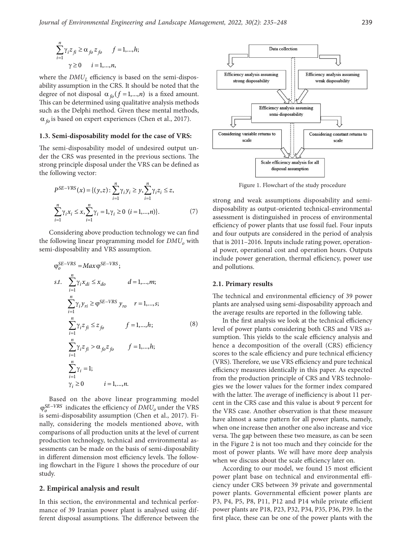$$
\sum_{i=1}^{n} \gamma_i z_{fi} \ge \alpha_{fo} z_{fo} \quad f = 1,...,h;
$$
  

$$
\gamma \ge 0 \quad i = 1,...,n,
$$

where the  $DMU<sub>L</sub>$  efficiency is based on the semi-disposability assumption in the CRS. It should be noted that the degree of not disposal  $\alpha_{f_0}$  ( $f = 1,...,n$ ) is a fixed amount. This can be determined using qualitative analysis methods such as the Delphi method. Given these mental methods, α *fo* is based on expert experiences (Chen et al., 2017).

#### **1.3. Semi-disposability model for the case of VRS:**

The semi-disposability model of undesired output under the CRS was presented in the previous sections. The strong principle disposal under the VRS can be defined as the following vector:

$$
P^{SE-VRS}(x) = \{ (y, z) : \sum_{i=1}^{n} \gamma_i y_i \ge y, \sum_{i=1}^{n} \gamma_i z_i \le z, \sum_{i=1}^{n} \gamma_i x_i \le x, \sum_{i=1}^{n} \gamma_i = 1, \gamma_i \ge 0 \ (i = 1, ..., n) \}.
$$
\n(7)

Considering above production technology we can find the following linear programming model for  $DMU<sub>o</sub>$  with semi-disposability and VRS assumption.

$$
\varphi_o^{SE-VRS} = Max \varphi^{SE-VRS};
$$
  
\ns.t. 
$$
\sum_{i=1}^{n} \gamma_i x_{di} \le x_{do} \qquad d = 1,..., m;
$$
  
\n
$$
\sum_{i=1}^{n} \gamma_i y_{ri} \ge \varphi^{SE-VRS} y_{ro} \qquad r = 1,..., s;
$$
  
\n
$$
\sum_{i=1}^{n} \gamma_i z_{fi} \le z_{fo} \qquad f = 1,..., h;
$$
  
\n
$$
\sum_{i=1}^{n} \gamma_i z_{fi} > \alpha_{fo} z_{fo} \qquad f = 1,..., h;
$$
  
\n
$$
\sum_{i=1}^{n} \gamma_i = 1;
$$
  
\n
$$
\gamma_i \ge 0 \qquad i = 1,..., n.
$$

Based on the above linear programming model  $φ<sub>o</sub><sup>SE–VRS</sup>$  indicates the efficiency of *DMU*<sub>*o*</sub> under the VRS is semi-disposability assumption (Chen et al., 2017). Finally, considering the models mentioned above, with comparisons of all production units at the level of current production technology, technical and environmental assessments can be made on the basis of semi-disposability in different dimension most efficiency levels. The following flowchart in the Figure 1 shows the procedure of our study.

#### **2. Empirical analysis and result**

In this section, the environmental and technical performance of 39 Iranian power plant is analysed using different disposal assumptions. The difference between the



Figure 1. Flowchart of the study procedure

strong and weak assumptions disposability and semidisposability as output-oriented technical-environmental assessment is distinguished in process of environmental efficiency of power plants that use fossil fuel. Four inputs and four outputs are considered in the period of analysis that is 2011–2016. Inputs include rating power, operational power, operational cost and operation hours. Outputs include power generation, thermal efficiency, power use and pollutions.

#### **2.1. Primary results**

The technical and environmental efficiency of 39 power plants are analysed using semi-disposability approach and the average results are reported in the following table.

In the first analysis we look at the technical efficiency level of power plants considering both CRS and VRS assumption. This yields to the scale efficiency analysis and hence a decomposition of the overall (CRS) efficiency scores to the scale efficiency and pure technical efficiency (VRS). Therefore, we use VRS efficiency and pure technical efficiency measures identically in this paper. As expected from the production principle of CRS and VRS technologies we the lower values for the former index compared with the latter. The average of inefficiency is about 11 percent in the CRS case and this value is about 9 percent for the VRS case. Another observation is that these measure have almost a same pattern for all power plants, namely, when one increase then another one also increase and vice versa. The gap between these two measure, as can be seen in the Figure 2 is not too much and they coincide for the most of power plants. We will have more deep analysis when we discuss about the scale efficiency later on.

According to our model, we found 15 most efficient power plant base on technical and environmental efficiency under CRS between 39 private and governmental power plants. Governmental efficient power plants are P3, P4, P5, P8, P11, P12 and P14 while private efficient power plants are P18, P23, P32, P34, P35, P36, P39. In the first place, these can be one of the power plants with the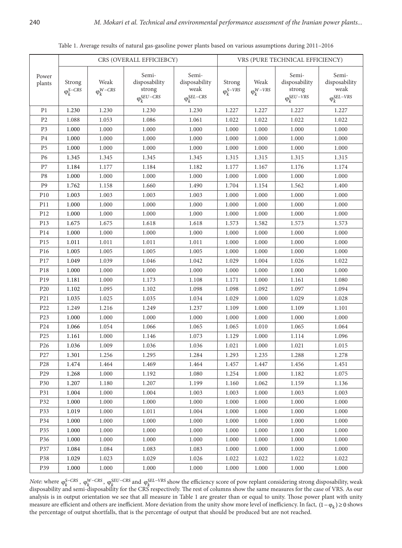Table 1. Average results of natural gas-gasoline power plants based on various assumptions during 2011–2016

|                 |                                                                              |           | CRS (OVERALL EFFICIEBCY)                                                     | VRS (PURE TECHNICAL EFFICIENCY)                                                                  |                               |           |                                                           |                                                         |  |
|-----------------|------------------------------------------------------------------------------|-----------|------------------------------------------------------------------------------|--------------------------------------------------------------------------------------------------|-------------------------------|-----------|-----------------------------------------------------------|---------------------------------------------------------|--|
| Power<br>plants | Weak<br>Strong<br>$\varphi_k^{S-CRS}$<br>$\mathbf{\varphi}_k^{W{\rm{-CRS}}}$ |           | Semi-<br>disposability<br>strong<br>$\ensuremath{\mathsf{\Phi}}_k^{SEU-CRS}$ | Semi-<br>disposability<br>weak<br>$\ensuremath{\mathsf{\Phi}}_k^{\ensuremath{\mathsf{SEL-CRS}}}$ | Strong<br>$\varphi_k^{S-VRS}$ |           | Semi-<br>disposability<br>strong<br>$\varphi_k^{SEU-VRS}$ | Semi-<br>disposability<br>weak<br>$\varphi_k^{SEL-VRS}$ |  |
| P <sub>1</sub>  | 1.230                                                                        | 1.230     | 1.230                                                                        | 1.230                                                                                            | 1.227                         | 1.227     | 1.227                                                     | 1.227                                                   |  |
| P <sub>2</sub>  | 1.088                                                                        | 1.053     | 1.086                                                                        | 1.061                                                                                            | 1.022                         | 1.022     | 1.022                                                     | 1.022                                                   |  |
| P <sub>3</sub>  | 1.000                                                                        | 1.000     | 1.000                                                                        | 1.000                                                                                            | 1.000                         | 1.000     | 1.000                                                     | 1.000                                                   |  |
| P <sub>4</sub>  | 1.000                                                                        | 1.000     | 1.000                                                                        | 1.000                                                                                            | 1.000                         | 1.000     | 1.000                                                     | 1.000                                                   |  |
| P <sub>5</sub>  | 1.000                                                                        | 1.000     | 1.000                                                                        | 1.000                                                                                            | 1.000                         | 1.000     | 1.000                                                     | 1.000                                                   |  |
| P <sub>6</sub>  | 1.345                                                                        | 1.345     | 1.345                                                                        | 1.345                                                                                            | 1.315                         | 1.315     | 1.315                                                     | 1.315                                                   |  |
| P7              | 1.184                                                                        | 1.177     | 1.184                                                                        | 1.182                                                                                            | 1.177                         | 1.167     | 1.176                                                     | 1.174                                                   |  |
| P8              | 1.000                                                                        | 1.000     | 1.000                                                                        | 1.000                                                                                            | 1.000                         | 1.000     | 1.000                                                     | 1.000                                                   |  |
| P <sub>9</sub>  | 1.762                                                                        | 1.158     | 1.660                                                                        | 1.490                                                                                            | 1.704                         | 1.154     | 1.562                                                     | 1.400                                                   |  |
| ${\rm P}10$     | 1.003                                                                        | 1.003     | 1.003                                                                        | 1.003                                                                                            | 1.000                         | 1.000     | 1.000                                                     | 1.000                                                   |  |
| P11             | 1.000                                                                        | 1.000     | 1.000                                                                        | 1.000                                                                                            | 1.000                         | 1.000     | 1.000                                                     | 1.000                                                   |  |
| P12             | 1.000                                                                        | 1.000     | 1.000                                                                        | 1.000                                                                                            | 1.000                         | 1.000     | 1.000                                                     | 1.000                                                   |  |
| P13             | 1.675                                                                        | 1.675     | 1.618                                                                        | 1.618                                                                                            | 1.573                         | 1.582     | 1.573                                                     | 1.573                                                   |  |
| P14             | 1.000                                                                        | 1.000     | 1.000                                                                        | 1.000                                                                                            | 1.000                         | 1.000     | 1.000                                                     | 1.000                                                   |  |
| P15             | 1.011                                                                        | $1.011\,$ | 1.011                                                                        | 1.011                                                                                            | 1.000                         | 1.000     | 1.000                                                     | 1.000                                                   |  |
| P16             | 1.005                                                                        | 1.005     | 1.005                                                                        | 1.005                                                                                            | 1.000                         | 1.000     | 1.000                                                     | 1.000                                                   |  |
| P17             | 1.049                                                                        | 1.039     | 1.046                                                                        | 1.042                                                                                            | 1.029                         | 1.004     | 1.026                                                     | 1.022                                                   |  |
| P18             | 1.000                                                                        | 1.000     | $1.000\,$                                                                    | 1.000                                                                                            | 1.000                         | 1.000     | 1.000                                                     | 1.000                                                   |  |
| P19             | 1.181                                                                        | 1.000     | 1.173                                                                        | 1.108                                                                                            | 1.171                         | 1.000     | 1.161                                                     | 1.080                                                   |  |
| P <sub>20</sub> | 1.102                                                                        | 1.095     | 1.102                                                                        | 1.098                                                                                            | 1.098                         | 1.092     | 1.097                                                     | 1.094                                                   |  |
| P21             | 1.035                                                                        | 1.025     | 1.035                                                                        | 1.034                                                                                            | 1.029                         | 1.000     | 1.029                                                     | 1.028                                                   |  |
| P22             | 1.249                                                                        | 1.216     | 1.249                                                                        | 1.237                                                                                            | 1.109                         | 1.000     | 1.109                                                     | 1.101                                                   |  |
| P23             | 1.000                                                                        | 1.000     | 1.000                                                                        | 1.000                                                                                            | 1.000                         | 1.000     | 1.000                                                     | 1.000                                                   |  |
| P <sub>24</sub> | 1.066                                                                        | 1.054     | 1.066                                                                        | 1.065                                                                                            | 1.065                         | 1.010     | 1.065                                                     | 1.064                                                   |  |
| P <sub>25</sub> | 1.161                                                                        | 1.000     | 1.146                                                                        | 1.073                                                                                            | 1.129                         | 1.000     | 1.114                                                     | 1.096                                                   |  |
| P <sub>26</sub> | 1.036                                                                        | 1.009     | 1.036                                                                        | 1.036                                                                                            | 1.021                         | 1.000     | 1.021                                                     | 1.015                                                   |  |
| P27             | 1.301                                                                        | 1.256     | 1.295                                                                        | 1.284                                                                                            | 1.293                         | 1.235     | 1.288                                                     | 1.278                                                   |  |
| P <sub>28</sub> | $1.474\,$                                                                    | 1.464     | 1.469                                                                        | 1.464                                                                                            | 1.457                         | $1.447\,$ | 1.456                                                     | 1.451                                                   |  |
| P <sub>29</sub> | 1.268                                                                        | 1.000     | 1.192                                                                        | 1.080                                                                                            | 1.254                         | 1.000     | 1.182                                                     | 1.075                                                   |  |
| P30             | 1.207                                                                        | 1.180     | 1.207                                                                        | 1.199                                                                                            | 1.160                         | 1.062     | 1.159                                                     | 1.136                                                   |  |
| P31             | 1.004                                                                        | 1.000     | 1.004                                                                        | 1.003                                                                                            | 1.003                         | 1.000     | 1.003                                                     | 1.003                                                   |  |
| P32             | 1.000                                                                        | 1.000     | 1.000                                                                        | 1.000                                                                                            | 1.000                         | 1.000     | 1.000                                                     | 1.000                                                   |  |
| P33             | 1.019                                                                        | 1.000     | 1.011                                                                        | 1.004                                                                                            | 1.000                         | 1.000     | 1.000                                                     | 1.000                                                   |  |
| P34             | 1.000                                                                        | 1.000     | 1.000                                                                        | 1.000                                                                                            | 1.000                         | 1.000     | 1.000                                                     | 1.000                                                   |  |
| P35             | 1.000                                                                        | 1.000     | 1.000                                                                        | 1.000                                                                                            | 1.000                         | 1.000     | 1.000                                                     | 1.000                                                   |  |
| P36             | 1.000                                                                        | 1.000     | 1.000                                                                        | 1.000                                                                                            | 1.000                         | 1.000     | 1.000                                                     | 1.000                                                   |  |
| P37             | 1.084                                                                        | 1.084     | 1.083                                                                        | 1.083                                                                                            | 1.000                         | 1.000     | 1.000                                                     | 1.000                                                   |  |
| P38             | 1.029                                                                        | 1.023     | 1.029                                                                        | 1.026                                                                                            | 1.022                         | 1.022     | 1.022                                                     | 1.022                                                   |  |
| P39             | 1.000                                                                        | 1.000     | 1.000                                                                        | 1.000                                                                                            | 1.000                         | 1.000     | 1.000                                                     | 1.000                                                   |  |

*Note*: where  $\varphi_k^{S-CRS}$ ,  $\varphi_k^{W-CRS}$ ,  $\varphi_k^{SEU-CRS}$  and  $\varphi_k^{SEL-VRS}$  show the efficiency score of pow replant considering strong disposability, weak disposability and semi-disposability for the CRS respectively. The rest analysis is in output orientation we see that all measure in Table 1 are greater than or equal to unity. Those power plant with unity measure are efficient and others are inefficient. More deviation from the unity show more level of inefficiency. In fact,  $(1 - \varphi_k) \ge 0$  shows the percentage of output shortfalls, that is the percentage of output that should be produced but are not reached.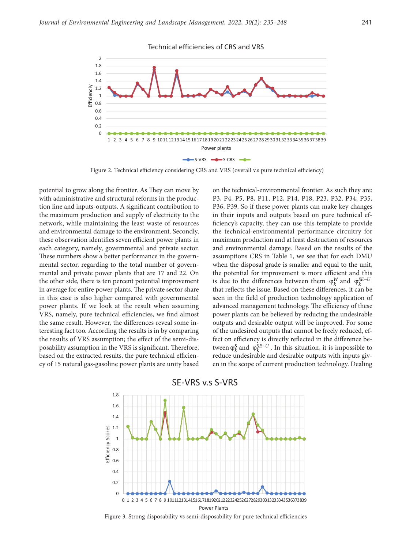

Figure 2. Technical efficiency considering CRS and VRS (overall v.s pure technical efficiency)

potential to grow along the frontier. As They can move by with administrative and structural reforms in the production line and inputs-outputs. A significant contribution to the maximum production and supply of electricity to the network, while maintaining the least waste of resources and environmental damage to the environment. Secondly, these observation identifies seven efficient power plants in each category, namely, governmental and private sector. These numbers show a better performance in the governmental sector, regarding to the total number of governmental and private power plants that are 17 and 22. On the other side, there is ten percent potential improvement in average for entire power plants. The private sector share in this case is also higher compared with governmental power plants. If we look at the result when assuming VRS, namely, pure technical efficiencies, we find almost the same result. However, the differences reveal some interesting fact too. According the results is in by comparing the results of VRS assumption; the effect of the semi-disposability assumption in the VRS is significant. Therefore, based on the extracted results, the pure technical efficiency of 15 natural gas-gasoline power plants are unity based

on the technical-environmental frontier. As such they are: P3, P4, P5, P8, P11, P12, P14, P18, P23, P32, P34, P35, P36, P39. So if these power plants can make key changes in their inputs and outputs based on pure technical efficiency's capacity, they can use this template to provide the technical-environmental performance circuitry for maximum production and at least destruction of resources and environmental damage. Based on the results of the assumptions CRS in Table 1, we see that for each DMU when the disposal grade is smaller and equal to the unit, the potential for improvement is more efficient and this is due to the differences between them  $\varphi_k^W$  and  $\varphi_k^{SE-U}$ that reflects the issue. Based on these differences, it can be seen in the field of production technology application of advanced management technology. The efficiency of these power plants can be believed by reducing the undesirable outputs and desirable output will be improved. For some of the undesired outputs that cannot be freely reduced, effect on efficiency is directly reflected in the difference between  $\varphi_k^S$  and  $\varphi_k^{SE-U}$ . In this situation, it is impossible to reduce undesirable and desirable outputs with inputs given in the scope of current production technology. Dealing



Figure 3. Strong disposability vs semi-disposability for pure technical efficiencies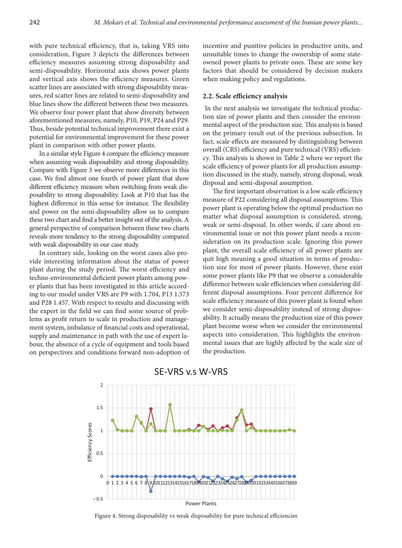with pure technical efficiency, that is, taking VRS into consideration, Figure 3 depicts the differences between efficiency measures assuming strong disposability and semi-disposability. Horizontal axis shows power plants and vertical axis shows the efficiency measures. Green scatter lines are associated with strong disposability measures, red scatter lines are related to semi-disposability and blue lines show the different between these two measures. We observe four power plant that show diversity between aforementioned measures, namely, P10, P19, P24 and P29. Thus, beside potential technical improvement there exist a potential for environmental improvement for these power plant in comparison with other power plants.

In a similar style Figure 4 compare the efficiency measure when assuming weak disposability and strong disposability. Compare with Figure 3 we observe more differences in this case. We find almost one fourth of power plant that show different efficiency measure when switching from weak disposability to strong disposability. Look at P10 that has the highest difference in this sense for instance. The flexibility and power on the semi-disposability allow us to compare these two chart and find a better insight out of the analysis. A general perspective of comparison between these two charts reveals more tendency to the strong disposability compared with weak disposability in our case study.

In contrary side, looking on the worst cases also provide interesting information about the status of power plant during the study period. The worst efficiency and techno-environmental deficient power plants among power plants that has been investigated in this article according to our model under VRS are P9 with 1.704, P13 1.573 and P28 1.457. With respect to results and discussing with the expert in the field we can find some source of problems as profit return to scale in production and management system, imbalance of financial costs and operational, supply and maintenance in path with the use of expert labour, the absence of a cycle of equipment and tools based on perspectives and conditions forward non-adoption of incentive and punitive policies in productive units, and unsuitable times to change the ownership of some stateowned power plants to private ones. These are some key factors that should be considered by decision makers when making policy and regulations.

#### **2.2. Scale efficiency analysis**

 In the next analysis we investigate the technical production size of power plants and then consider the environmental aspect of the production size. This analysis is based on the primary result out of the previous subsection. In fact, scale effects are measured by distinguishing between overall (CRS) efficiency and pure technical (VRS) efficiency. This analysis is shown in Table 2 where we report the scale efficiency of power plants for all production assumption discussed in the study, namely, strong disposal, weak disposal and semi-disposal assumption.

The first important observation is a low scale efficiency measure of P22 considering all disposal assumptions. This power plant is operating below the optimal production no matter what disposal assumption is considered, strong, weak or semi-disposal. In other words, if care about environmental issue or not this power plant needs a reconsideration on its production scale. Ignoring this power plant, the overall scale efficiency of all power plants are quit high meaning a good situation in terms of production size for most of power plants. However, there exist some power plants like P9 that we observe a considerable difference between scale efficiencies when considering different disposal assumptions. Four percent difference for scale efficiency measure of this power plant is found when we consider semi-disposability instead of strong disposability. It actually means the production size of this power plant become worse when we consider the environmental aspects into consideration. This highlights the environmental issues that are highly affected by the scale size of the production.



# SE-VRS v.s W-VRS

Figure 4. Strong disposability vs weak disposability for pure technical efficiencies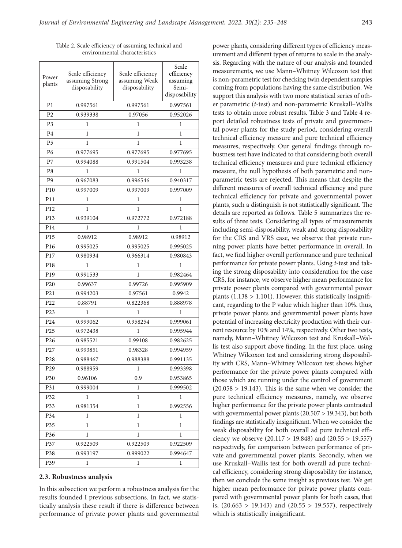| Power<br>plants | Scale efficiency<br>assuming Strong<br>disposability | Scale efficiency<br>assuming Weak<br>disposability | Scale<br>efficiency<br>assuming<br>Semi-<br>disposability |  |  |
|-----------------|------------------------------------------------------|----------------------------------------------------|-----------------------------------------------------------|--|--|
| P <sub>1</sub>  | 0.997561                                             | 0.997561                                           | 0.997561                                                  |  |  |
| P <sub>2</sub>  | 0.939338                                             | 0.97056                                            | 0.952026                                                  |  |  |
| P <sub>3</sub>  | 1                                                    | 1                                                  | 1                                                         |  |  |
| P <sub>4</sub>  | 1                                                    | 1                                                  | 1                                                         |  |  |
| P <sub>5</sub>  | 1                                                    | 1                                                  | 1                                                         |  |  |
| P <sub>6</sub>  | 0.977695                                             | 0.977695                                           | 0.977695                                                  |  |  |
| P7              | 0.994088                                             | 0.991504                                           | 0.993238                                                  |  |  |
| P <sub>8</sub>  | 1                                                    | 1                                                  | 1                                                         |  |  |
| P <sub>9</sub>  | 0.967083                                             | 0.996546                                           | 0.940317                                                  |  |  |
| P10             | 0.997009                                             | 0.997009                                           | 0.997009                                                  |  |  |
| P11             | 1                                                    | 1                                                  | 1                                                         |  |  |
| P12             | 1                                                    | 1                                                  | 1                                                         |  |  |
| P13             | 0.939104                                             | 0.972772                                           | 0.972188                                                  |  |  |
| P <sub>14</sub> | 1                                                    | 1                                                  | 1                                                         |  |  |
| P15             | 0.98912                                              | 0.98912                                            | 0.98912                                                   |  |  |
| P16             | 0.995025                                             | 0.995025                                           | 0.995025                                                  |  |  |
| P17             | 0.980934                                             | 0.966314                                           | 0.980843                                                  |  |  |
| P18             | 1                                                    | 1                                                  | 1                                                         |  |  |
| P19             | 0.991533                                             | 1                                                  | 0.982464                                                  |  |  |
| P <sub>20</sub> | 0.99637                                              | 0.99726                                            | 0.995909                                                  |  |  |
| P21             | 0.994203                                             | 0.97561                                            | 0.9942                                                    |  |  |
| P22             | 0.88791                                              | 0.822368                                           | 0.888978                                                  |  |  |
| P23             | 1                                                    | 1                                                  | 1                                                         |  |  |
| P24             | 0.999062                                             | 0.958254                                           | 0.999061                                                  |  |  |
| P <sub>25</sub> | 0.972438                                             | 1                                                  | 0.995944                                                  |  |  |
| P <sub>26</sub> | 0.985521                                             | 0.99108                                            | 0.982625                                                  |  |  |
| P27             | 0.993851                                             | 0.98328                                            | 0.994959                                                  |  |  |
| P <sub>28</sub> | 0.988467                                             | 0.988388                                           | 0.991135                                                  |  |  |
| P <sub>29</sub> | 0.988959                                             | 1                                                  | 0.993398                                                  |  |  |
| P30             | 0.96106                                              | 0.9                                                | 0.953865                                                  |  |  |
| P31             | 0.999004                                             | 1                                                  | 0.999502                                                  |  |  |
| P32             | 1                                                    | 1                                                  | 1                                                         |  |  |
| P33             | 0.981354                                             | 1                                                  | 0.992556                                                  |  |  |
| P34             | 1                                                    | 1                                                  | 1                                                         |  |  |
| P35             | 1                                                    | 1                                                  | 1                                                         |  |  |
| P36             | 1                                                    | 1                                                  | 1                                                         |  |  |
| P37             | 0.922509                                             | 0.922509                                           | 0.922509                                                  |  |  |
| P38             | 0.993197                                             | 0.999022                                           | 0.994647                                                  |  |  |
| P39<br>1        |                                                      | 1                                                  | 1                                                         |  |  |

Table 2. Scale efficiency of assuming technical and environmental characteristics

#### **2.3. Robustness analysis**

In this subsection we perform a robustness analysis for the results founded I previous subsections. In fact, we statistically analysis these result if there is difference between performance of private power plants and governmental

power plants, considering different types of efficiency measurement and different types of returns to scale in the analysis. Regarding with the nature of our analysis and founded measurements, we use Mann–Whitney Wilcoxon test that is non-parametric test for checking twin dependent samples coming from populations having the same distribution. We support this analysis with two more statistical series of other parametric (*t*-test) and non-parametric Kruskall–Wallis tests to obtain more robust results. Table 3 and Table 4 report detailed robustness tests of private and governmental power plants for the study period, considering overall technical efficiency measure and pure technical efficiency measures, respectively. Our general findings through robustness test have indicated to that considering both overall technical efficiency measures and pure technical efficiency measure, the null hypothesis of both parametric and nonparametric tests are rejected. This means that despite the different measures of overall technical efficiency and pure technical efficiency for private and governmental power plants, such a distinguish is not statistically significant. The details are reported as follows. Table 5 summarizes the results of three tests. Considering all types of measurements including semi-disposability, weak and strong disposability for the CRS and VRS case, we observe that private running power plants have better performance in overall. In fact, we find higher overall performance and pure technical performance for private power plants. Using *t*-test and taking the strong disposability into consideration for the case CRS, for instance, we observe higher mean performance for private power plants compared with governmental power plants  $(1.138 > 1.101)$ . However, this statistically insignificant, regarding to the P value which higher than 10%. thus, private power plants and governmental power plants have potential of increasing electricity production with their current resource by 10% and 14%, respectively. Other two tests, namely, Mann–Whitney Wilcoxon test and Kruskall–Wallis test also support above finding. In the first place, using Whitney Wilcoxon test and considering strong disposability with CRS, Mann–Whitney Wilcoxon test shows higher performance for the private power plants compared with those which are running under the control of government  $(20.058 > 19.143)$ . This is the same when we consider the pure technical efficiency measures, namely, we observe higher performance for the private power plants contrasted with governmental power plants (20.507 > 19.343), but both findings are statistically insignificant. When we consider the weak disposability for both overall ad pure technical efficiency we observe (20.117 > 19.848) and (20.55 > 19.557) respectively, for comparison between performance of private and governmental power plants. Secondly, when we use Kruskall–Wallis test for both overall ad pure technical efficiency, considering strong disposability for instance, then we conclude the same insight as previous test. We get higher mean performance for private power plants compared with governmental power plants for both cases, that is,  $(20.663 > 19.143)$  and  $(20.55 > 19.557)$ , respectively which is statistically insignificant.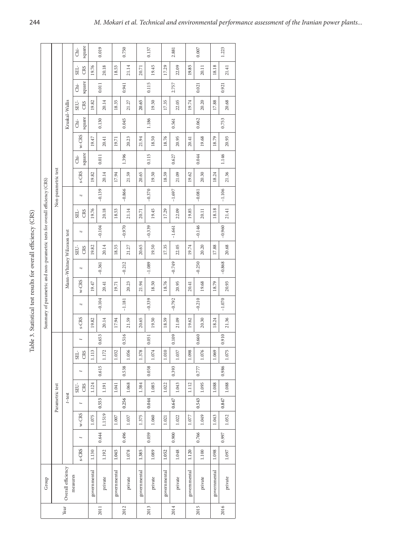| --------<br>í<br>I             |
|--------------------------------|
| ţ<br>$\overline{a}$            |
| J<br>ׇׇ֡֕֡                     |
| :<br>י<br>$\ddot{\phantom{a}}$ |
| í                              |
| b                              |
| l                              |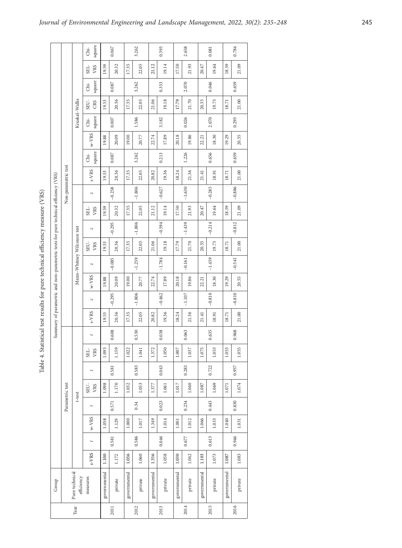Table 4. Statistical test results for pure technical efficiency measure (VRS)

|                                                                                    |                     |                              | square<br>di-      | 0.067        |                      | 3.262        |          | 0.393        |          | 2.658        |          | 0.081        |          | 0.784        |          |
|------------------------------------------------------------------------------------|---------------------|------------------------------|--------------------|--------------|----------------------|--------------|----------|--------------|----------|--------------|----------|--------------|----------|--------------|----------|
|                                                                                    |                     |                              | VRS<br>SEL-        | 19.59        | 20.32                | 17.35        | 22.05    | 21.12        | 19.14    | 17.50        | 21.93    | 20.47        | 19.64    | 18.59        | 21.09    |
|                                                                                    |                     |                              |                    |              |                      |              |          |              |          |              |          |              |          |              |          |
|                                                                                    |                     |                              | square<br>di-      |              | 0.087                |              | 3.262    |              | 0.353    |              | 2.070    |              | 0.046    |              | 0.659    |
|                                                                                    |                     | Kruskal-Wallis               | CRS<br>SEU-        | 19.53        | 20.36                | 17.35        | 22.05    | 21.06        | 19.18    | 17.79        | 21.70    | 20.35        | 19.73    | 18.71        | 21.00    |
|                                                                                    |                     |                              | square<br>á        |              | $0.007$              |              | 1.586    |              | 3.182    |              | 0.026    |              | 2.070    |              | 0.293    |
|                                                                                    |                     |                              | $W-VRS$            | 19.88        | 20.09                | 19.00        | 20.77    | 22.74        | 17.89    | 20.18        | 19.86    | 22.21        | 18.30    | 19.29        | 20.55    |
|                                                                                    |                     |                              | square<br>á        | 0.087        |                      | 3.262        |          | 0.213        |          | 1.226        |          | 0.656        |          | 0.659        |          |
|                                                                                    | Non-parametric test |                              | s-VRS              | 19.53        | 20.36                | 17.35        | 22.05    | 20.82        | 19.36    | 18.24        | 21.36    | 21.41        | 18.91    | 18.71        | 21.00    |
|                                                                                    |                     |                              | N                  |              | $-1.806$<br>$-0.258$ |              |          | $-0.627$     |          | $-1.630$     |          | $-0.285$     |          | $-0.886$     |          |
|                                                                                    |                     |                              | VRS<br>SEL-        | 19.59        | 20.32                | 17.35        | 22.05    | 21.12        | 19.14    | 17.50        | 21.93    | 20.47        | 19.64    | 18.59        | 21.09    |
|                                                                                    |                     |                              | N                  | $-0.295$     |                      |              | $-1.806$ | $-0.594$     |          | $-1.439$     |          | $-0.214$     |          | $-0.812$     |          |
|                                                                                    |                     |                              | SEU-<br>VRS        | 19.53        | 20.36                | 17.35        | 22.05    | 21.06        | 19.18    | 17.79        | 21.70    | 20.35        | 19.73    | 18.71        | 21.00    |
| Summary of parametric and non-parametric tests for pure technical efficiency (VRS) |                     | Mann-Whitney Wilcoxon test   | N                  | $-0.085$     |                      | $-1.259$     |          | $-1.784$     |          | $-0.161$     |          | $-1.439$     |          | $-0.541$     |          |
|                                                                                    |                     |                              | $w-VRS$            | 19.88        | 20.09                | 19.00        | 20.77    | 22.74        | 17.89    | 20.18        | 19.86    | 22.21        | 18.30    | 19.29        | 20.55    |
|                                                                                    |                     |                              | N                  |              | $-0.295$             |              | $-1.806$ |              | $-0.462$ |              | $-1.107$ |              | $-0.810$ |              | $-0.810$ |
|                                                                                    |                     |                              | s-VRS              | 19.53        | 20.36                | 17.35        | 22.05    | 20.82        | 19.36    | 18.24        | 21.36    | 21.41        | 18.91    | 18.71        | 21.00    |
|                                                                                    |                     |                              | $\ddot{}$          |              | 0.608                |              | 0.530    |              | 0.038    |              | 0.063    |              | 0.635    |              | 0.968    |
|                                                                                    |                     |                              | VRS<br>${\rm SEL}$ | 1.093        | 1.159                | 1.022        | 1.041    | 1.372        | 1.050    | $1.007$      | 1.037    | 1.075        | 1.053    | 1.053        | 1.055    |
|                                                                                    |                     |                              |                    |              | 0.581                |              | 0.583    |              | 0.043    |              | 0.283    |              | 0.722    |              | 0.957    |
|                                                                                    | Parametric test     | $t$ -test                    | SEU-<br>VRS        | 1.098        | 1.170                | 1.032        | 1.053    | 1.377        | 1.061    | 1.017        | 1.040    | 1.087        | 1.069    | 1.071        | 1.074    |
|                                                                                    |                     |                              |                    |              | 0.571                |              | 0.34     |              | 0.023    |              | 0.234    |              | 0.443    |              | 0.830    |
|                                                                                    |                     |                              | $w-VRS$            | 1.058        | 1.129                | 1.000        | 1.017    | 1.349        | 1.014    | 1.001        | 1.012    | 1.066        | 1.033    | 1.040        | 1.031    |
|                                                                                    |                     |                              |                    |              | 0.581                |              | 0.586    |              | 0.046    |              | 0.677    |              | 0.613    |              | 0.946    |
|                                                                                    |                     |                              | s-VRS              | 1.100        | 1.172                | 1.036        | 1.060    | 1.356        | 1.058    | 1.030        | 1.042    | 1.103        | 1.073    | 1.087        | 1.083    |
| Group                                                                              |                     | Pure technical<br>efficiency | measures           | governmental | private              | governmental | private  | governmental | private  | governmental | private  | governmental | private  | governmental | private  |
| Year                                                                               |                     |                              |                    |              | 2011                 |              | 2012     |              | 2013     |              | 2014     |              | 2015     |              | 2016     |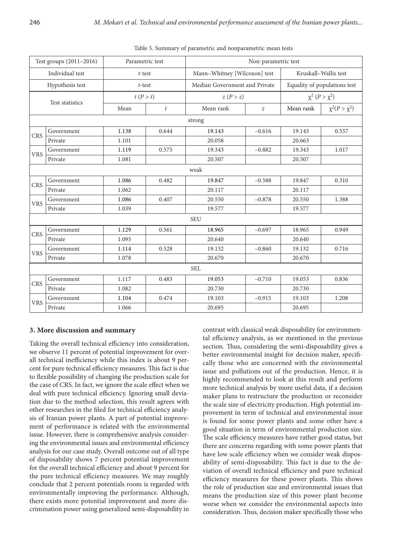|                 | Test groups (2011-2016) | Parametric test |                  | Non-parametric test           |                  |                              |                      |  |  |  |  |
|-----------------|-------------------------|-----------------|------------------|-------------------------------|------------------|------------------------------|----------------------|--|--|--|--|
|                 | Individual test         | $t$ -test       |                  | Mann-Whitney [Wilcoxon] test  |                  | Kruskall-Wallis test         |                      |  |  |  |  |
|                 | Hypothesis test         | $t$ -test       |                  | Median Government and Private |                  | Equality of populations test |                      |  |  |  |  |
| Test statistics |                         | t(P > t)        |                  | z(P>z)                        |                  | $\chi^2 (P > \chi^2)$        |                      |  |  |  |  |
|                 |                         | Mean            | $\boldsymbol{t}$ | Mean rank                     | $\boldsymbol{z}$ | Mean rank                    | $\chi^2(P > \chi^2)$ |  |  |  |  |
| strong          |                         |                 |                  |                               |                  |                              |                      |  |  |  |  |
| <b>CRS</b>      | Government              | 1.138           | 0.644            | 19.143                        | $-0.616$         | 19.143                       | 0.557                |  |  |  |  |
|                 | Private                 | 1.101           |                  | 20.058                        |                  | 20.663                       |                      |  |  |  |  |
| <b>VRS</b>      | Government              | 1.119           | 0.575            | 19.343                        | $-0.882$         |                              | 1.017                |  |  |  |  |
|                 | Private                 | 1.081           |                  | 20.507                        |                  | 20.507                       |                      |  |  |  |  |
| weak            |                         |                 |                  |                               |                  |                              |                      |  |  |  |  |
| <b>CRS</b>      | Government              | 1.086           | 0.482            | 19.847                        | $-0.588$         | 19.847                       | 0.310                |  |  |  |  |
|                 | Private                 | 1.062           |                  | 20.117                        |                  | 20.117                       |                      |  |  |  |  |
| <b>VRS</b>      | Government              | 1.086           | 0.407            | 20.550                        | $-0.878$         | 20.550                       | 1.388                |  |  |  |  |
|                 | Private                 | 1.039           |                  | 19.577                        |                  | 19.577                       |                      |  |  |  |  |
|                 |                         |                 |                  | <b>SEU</b>                    |                  |                              |                      |  |  |  |  |
| <b>CRS</b>      | Government              | 1.129           | 0.561            | 18.965                        | $-0.697$         | 18.965                       | 0.949                |  |  |  |  |
|                 | Private                 | 1.095           |                  | 20.640                        |                  | 20.640                       |                      |  |  |  |  |
| <b>VRS</b>      | Government              | 1.114           | 0.528            | 19.132                        | $-0.860$         | 19.132                       | 0.716                |  |  |  |  |
|                 | Private                 | 1.078           |                  | 20.670                        |                  | 20.670                       |                      |  |  |  |  |
| <b>SEL</b>      |                         |                 |                  |                               |                  |                              |                      |  |  |  |  |
| <b>CRS</b>      | Government              | 1.117           | 0.483            | 19.053                        | $-0.710$         | 19.053                       | 0.836                |  |  |  |  |
|                 | Private                 | 1.082           |                  | 20.730                        |                  | 20.730                       |                      |  |  |  |  |
| <b>VRS</b>      | 1.104<br>Government     |                 | 0.474            | 19.103                        | $-0.915$         | 19.103                       | 1.208                |  |  |  |  |
|                 | Private                 | 1.066           |                  | 20.695                        |                  | 20.695                       |                      |  |  |  |  |

Table 5. Summary of parametric and nonparametric mean tests

### **3. More discussion and summary**

Taking the overall technical efficiency into consideration, we observe 11 percent of potential improvement for overall technical inefficiency while this index is about 9 percent for pure technical efficiency measures. This fact is due to flexible possibility of changing the production scale for the case of CRS. In fact, we ignore the scale effect when we deal with pure technical efficiency. Ignoring small deviation due to the method selection, this result agrees with other researches in the filed for technical efficiency analysis of Iranian power plants. A part of potential improvement of performance is related with the environmental issue. However, there is comprehensive analysis considering the environmental issues and environmental efficiency analysis for our case study. Overall outcome out of all type of disposability shows 7 percent potential improvement for the overall technical efficiency and about 9 percent for the pure technical efficiency measures. We may roughly conclude that 2 percent potentials room is regarded with environmentally improving the performance. Although, there exists more potential improvement and more discrimination power using generalized semi-disposability in

contrast with classical weak disposability for environmental efficiency analysis, as we mentioned in the previous section. Thus, considering the semi-disposability gives a better environmental insight for decision maker, specifically those who are concerned with the environmental issue and pollutions out of the production. Hence, it is highly recommended to look at this result and perform more technical analysis by more useful data, if a decision maker plans to restructure the production or reconsider the scale size of electricity production. High potential improvement in term of technical and environmental issue is found for some power plants and some other have a good situation in term of environmental production size. The scale efficiency measures have rather good status, but there are concerns regarding with some power plants that have low scale efficiency when we consider weak disposability of semi-disposability. This fact is due to the deviation of overall technical efficiency and pure technical efficiency measures for these power plants. This shows the role of production size and environmental issues that means the production size of this power plant become worse when we consider the environmental aspects into consideration. Thus, decision maker specifically those who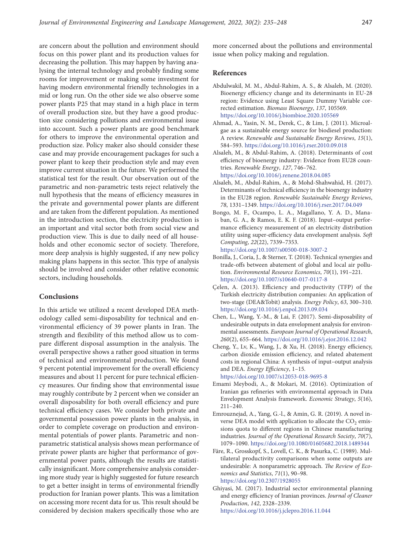are concern about the pollution and environment should focus on this power plant and its production values for decreasing the pollution. This may happen by having analysing the internal technology and probably finding some rooms for improvement or making some investment for having modern environmental friendly technologies in a mid or long run. On the other side we also observe some power plants P25 that may stand in a high place in term of overall production size, but they have a good production size considering pollutions and environmental issue into account. Such a power plants are good benchmark for others to improve the environmental operation and production size. Policy maker also should consider these case and may provide encouragement packages for such a power plant to keep their production style and may even improve current situation in the future. We performed the statistical test for the result. Our observation out of the parametric and non-parametric tests reject relatively the null hypothesis that the means of efficiency measures in the private and governmental power plants are different and are taken from the different population. As mentioned in the introduction section, the electricity production is an important and vital sector both from social view and production view. This is due to daily need of all households and other economic sector of society. Therefore, more deep analysis is highly suggested, if any new policy making plans happens in this sector. This type of analysis should be involved and consider other relative economic sectors, including households.

# **Conclusions**

In this article we utilized a recent developed DEA methodology called semi-disposability for technical and environmental efficiency of 39 power plants in Iran. The strength and flexibility of this method allow us to compare different disposal assumption in the analysis. The overall perspective shows a rather good situation in terms of technical and environmental production. We found 9 percent potential improvement for the overall efficiency measures and about 11 percent for pure technical efficiency measures. Our finding show that environmental issue may roughly contribute by 2 percent when we consider an overall disposability for both overall efficiency and pure technical efficiency cases. We consider both private and governmental possession power plants in the analysis, in order to complete coverage on production and environmental potentials of power plants. Parametric and nonparametric statistical analysis shows mean performance of private power plants are higher that performance of governmental power pants, although the results are statistically insignificant. More comprehensive analysis considering more study year is highly suggested for future research to get a better insight in terms of environmental friendly production for Iranian power plants. This was a limitation on accessing more recent data for us. This result should be considered by decision makers specifically those who are more concerned about the pollutions and environmental issue when policy making and regulation.

# **References**

- Abdulwakil, M. M., Abdul-Rahim, A. S., & Alsaleh, M. (2020). Bioenergy efficiency change and its determinants in EU-28 region: Evidence using Least Square Dummy Variable corrected estimation. *Biomass Bioenergy*, *137*, 105569. <https://doi.org/10.1016/j.biombioe.2020.105569>
- Ahmad, A., Yasin, N. M., Derek, C., & Lim, J. (2011). Microalgae as a sustainable energy source for biodiesel production: A review. *Renewable and Sustainable Energy Reviews*, *15*(1), 584–593. <https://doi.org/10.1016/j.rser.2010.09.018>
- Alsaleh, M., & Abdul-Rahim, A. (2018). Determinants of cost efficiency of bioenergy industry: Evidence from EU28 countries. *Renewable Energy*, *127*, 746–762. <https://doi.org/10.1016/j.renene.2018.04.085>
- Alsaleh, M., Abdul-Rahim, A., & Mohd-Shahwahid, H. (2017). Determinants of technical efficiency in the bioenergy industry in the EU28 region. *Renewable Sustainable Energy Reviews*, *78*, 1331–1349. <https://doi.org/10.1016/j.rser.2017.04.049>
- Bongo, M. F., Ocampo, L. A., Magallano, Y. A. D., Manaban, G. A., & Ramos, E. K. F. (2018). Input–output performance efficiency measurement of an electricity distribution utility using super-efficiency data envelopment analysis. *Soft Computing*, *22*(22), 7339–7353. <https://doi.org/10.1007/s00500-018-3007-2>
- Bonilla, J., Coria, J., & Sterner, T. (2018). Technical synergies and trade-offs between abatement of global and local air pollution. *Environmental Resource Economics*, *70*(1), 191–221. <https://doi.org/10.1007/s10640-017-0117-8>
- Çelen, A. (2013). Efficiency and productivity (TFP) of the Turkish electricity distribution companies: An application of two-stage (DEA&Tobit) analysis. *Energy Policy*, *63*, 300–310. <https://doi.org/10.1016/j.enpol.2013.09.034>
- Chen, L., Wang, Y.-M., & Lai, F. (2017). Semi-disposability of undesirable outputs in data envelopment analysis for environmental assessments. *European Journal of Operational Research*, *260*(2), 655–664. <https://doi.org/10.1016/j.ejor.2016.12.042>
- Cheng, Y., Lv, K., Wang, J., & Xu, H. (2018). Energy efficiency, carbon dioxide emission efficiency, and related abatement costs in regional China: A synthesis of input–output analysis and DEA. *Energy Efficiency*, 1–15.
	- <https://doi.org/10.1007/s12053-018-9695-8>
- Emami Meybodi, A., & Mokari, M. (2016). Optimization of Iranian gas refineries with environmental approach in Data Envelopment Analysis framework. *Economic Strategy*, *5*(16), 211–240.
- Emrouznejad, A., Yang, G.-l., & Amin, G. R. (2019). A novel inverse DEA model with application to allocate the  $CO<sub>2</sub>$  emissions quota to different regions in Chinese manufacturing industries. *Journal of the Operational Research Society*, *70*(7), 1079–1090. <https://doi.org/10.1080/01605682.2018.1489344>
- Färe, R., Grosskopf, S., Lovell, C. K., & Pasurka, C. (1989). Multilateral productivity comparisons when some outputs are undesirable: A nonparametric approach. *The Review of Economics and Statistics*, *71*(1), 90–98. <https://doi.org/10.2307/1928055>
- Ghiyasi, M. (2017). Industrial sector environmental planning and energy efficiency of Iranian provinces. *Journal of Cleaner Production*, *142*, 2328–2339. <https://doi.org/10.1016/j.jclepro.2016.11.044>